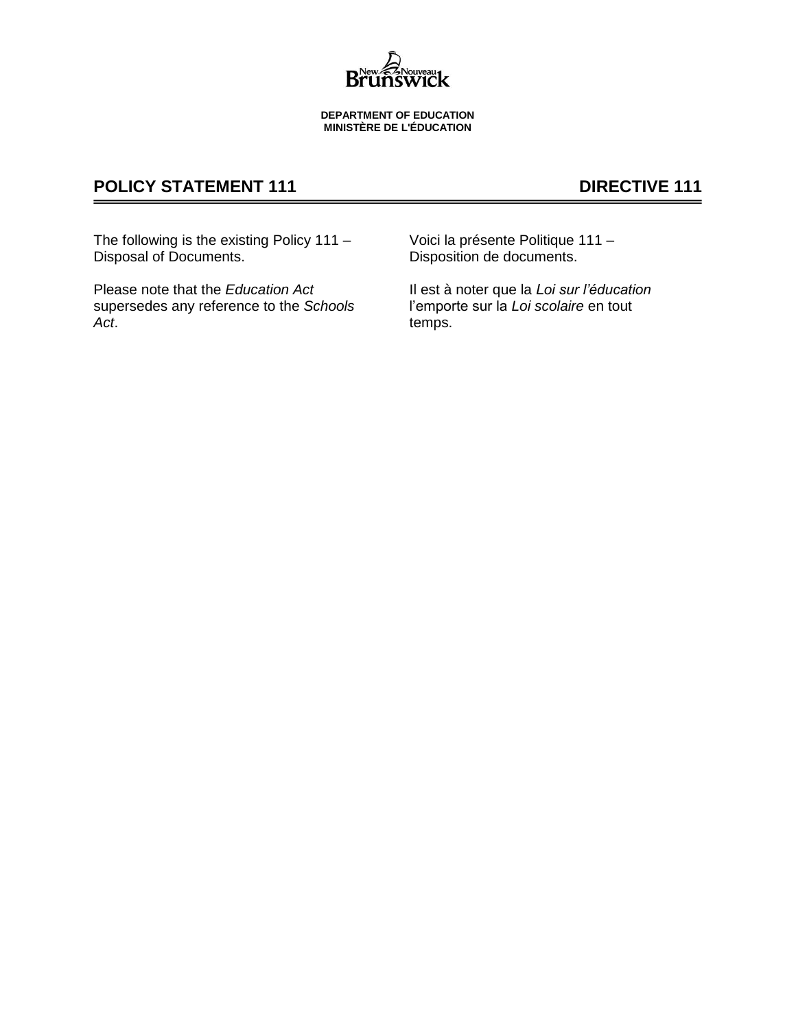

#### **DEPARTMENT OF EDUCATION MINISTÈRE DE L'ÉDUCATION**

# **POLICY STATEMENT 111 DIRECTIVE 111**

The following is the existing Policy 111 – Disposal of Documents.

Please note that the *Education Act* supersedes any reference to the *Schools Act*.

Voici la présente Politique 111 – Disposition de documents.

Il est à noter que la *Loi sur l'éducation* l'emporte sur la *Loi scolaire* en tout temps.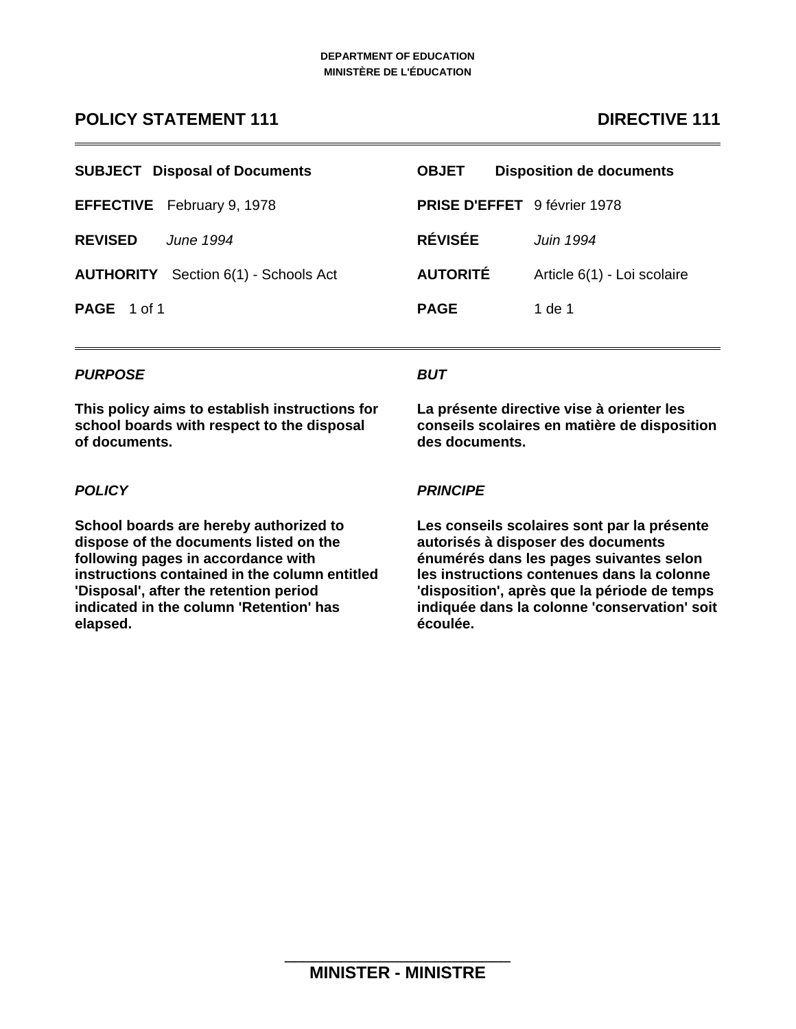# **POLICY STATEMENT 111 DIRECTIVE 111**

|                    | <b>SUBJECT</b> Disposal of Documents        | <b>OBJET</b>    | <b>Disposition de documents</b>     |
|--------------------|---------------------------------------------|-----------------|-------------------------------------|
|                    | <b>EFFECTIVE</b> February 9, 1978           |                 | <b>PRISE D'EFFET</b> 9 février 1978 |
| <b>REVISED</b>     | <b>June 1994</b>                            | <b>RÉVISÉE</b>  | Juin 1994                           |
|                    | <b>AUTHORITY</b> Section 6(1) - Schools Act | <b>AUTORITÉ</b> | Article 6(1) - Loi scolaire         |
| <b>PAGE</b> 1 of 1 |                                             | <b>PAGE</b>     | 1 de 1                              |

# *PURPOSE*

**This policy aims to establish instructions for school boards with respect to the disposal of documents.** 

# *BUT*

**La présente directive vise à orienter les conseils scolaires en matière de disposition des documents.**

# *POLICY*

**School boards are hereby authorized to dispose of the documents listed on the following pages in accordance with instructions contained in the column entitled 'Disposal', after the retention period indicated in the column 'Retention' has elapsed.** 

## *PRINCIPE*

**Les conseils scolaires sont par la présente autorisés à disposer des documents énumérés dans les pages suivantes selon les instructions contenues dans la colonne 'disposition', après que la période de temps indiquée dans la colonne 'conservation' soit écoulée.**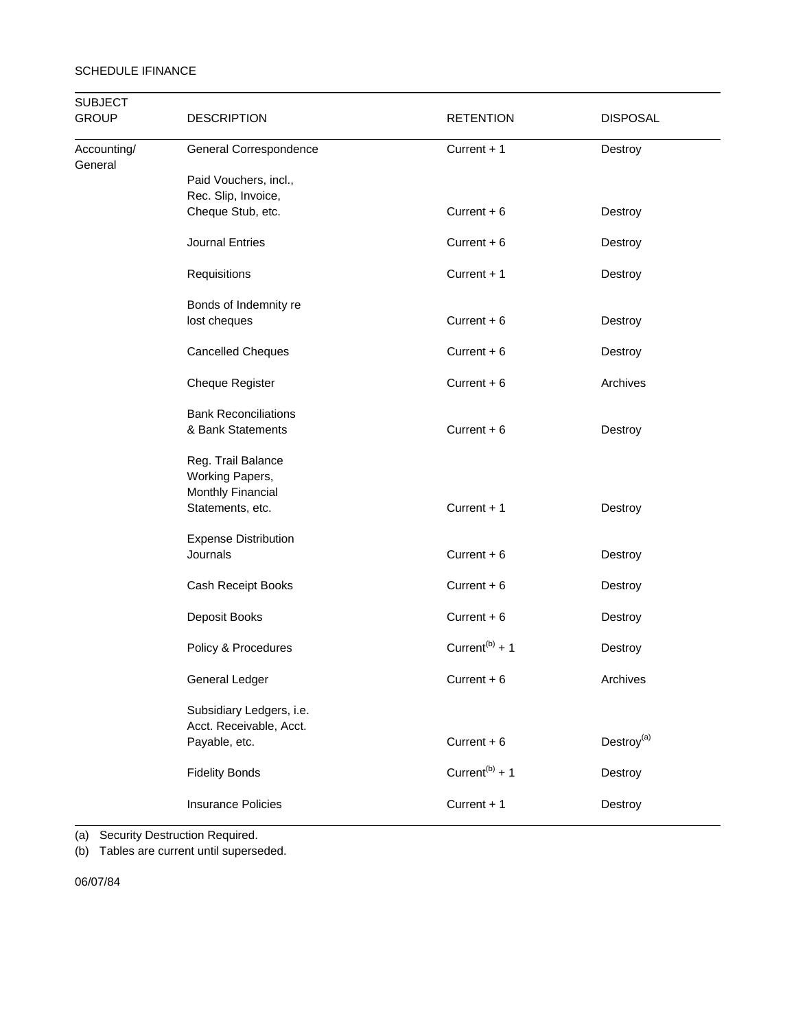| <b>SUBJECT</b><br><b>GROUP</b> | <b>DESCRIPTION</b><br><b>RETENTION</b>                                         |                            | <b>DISPOSAL</b>        |  |  |
|--------------------------------|--------------------------------------------------------------------------------|----------------------------|------------------------|--|--|
| Accounting/<br>General         | General Correspondence                                                         | Current + 1                | Destroy                |  |  |
|                                | Paid Vouchers, incl.,                                                          |                            |                        |  |  |
|                                | Rec. Slip, Invoice,                                                            |                            |                        |  |  |
|                                | Cheque Stub, etc.                                                              | Current $+6$               | Destroy                |  |  |
|                                | Journal Entries                                                                | Current $+6$               | Destroy                |  |  |
|                                | Requisitions                                                                   | Current $+1$               | Destroy                |  |  |
|                                | Bonds of Indemnity re                                                          |                            |                        |  |  |
|                                | lost cheques                                                                   | Current $+6$               | Destroy                |  |  |
|                                | <b>Cancelled Cheques</b>                                                       | Current $+6$               | Destroy                |  |  |
|                                | <b>Cheque Register</b>                                                         | Current $+6$               | Archives               |  |  |
|                                | <b>Bank Reconciliations</b><br>& Bank Statements                               | Current $+6$               | Destroy                |  |  |
|                                | Reg. Trail Balance<br>Working Papers,<br>Monthly Financial<br>Statements, etc. | Current + 1                | Destroy                |  |  |
|                                | <b>Expense Distribution</b><br>Journals                                        | Current $+6$               | Destroy                |  |  |
|                                | Cash Receipt Books                                                             | Current $+6$               | Destroy                |  |  |
|                                | Deposit Books                                                                  | Current $+6$               | Destroy                |  |  |
|                                | Policy & Procedures                                                            | Current <sup>(b)</sup> + 1 | Destroy                |  |  |
|                                | General Ledger                                                                 | Current + 6                | Archives               |  |  |
|                                | Subsidiary Ledgers, i.e.<br>Acct. Receivable, Acct.                            |                            |                        |  |  |
|                                | Payable, etc.                                                                  | Current $+6$               | Destroy <sup>(a)</sup> |  |  |
|                                | <b>Fidelity Bonds</b>                                                          | Current <sup>(b)</sup> + 1 | Destroy                |  |  |
|                                | <b>Insurance Policies</b>                                                      | Current + 1                | Destroy                |  |  |

(a) Security Destruction Required.

(b) Tables are current until superseded.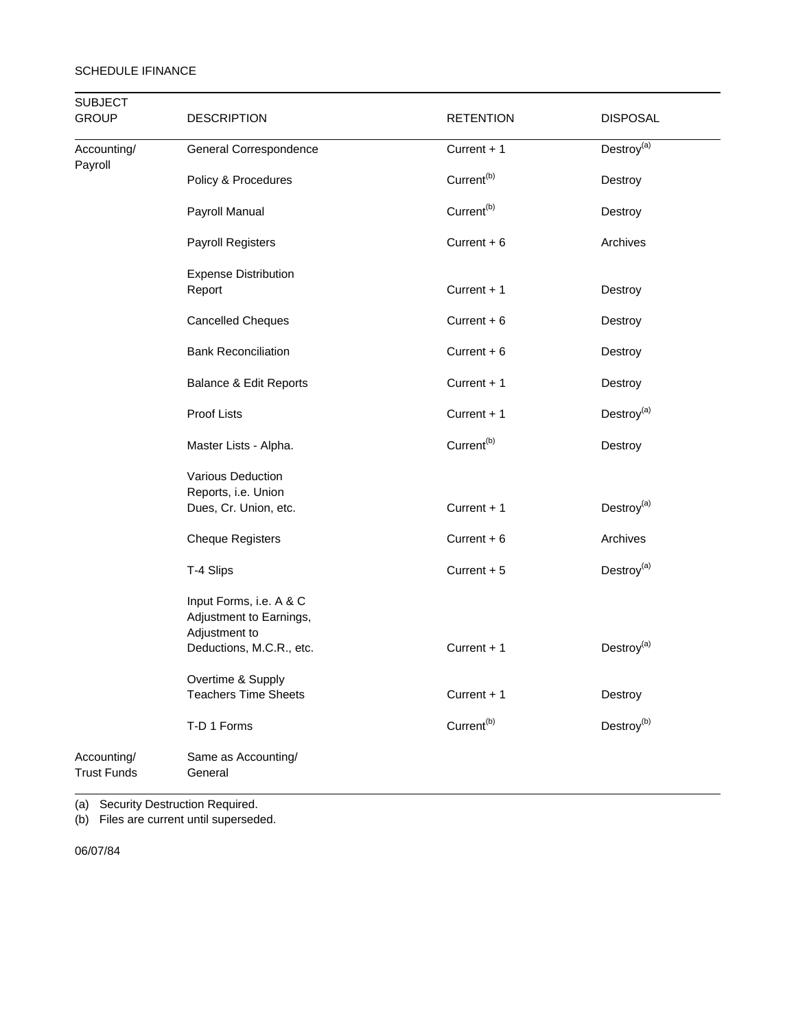| <b>SUBJECT</b><br><b>GROUP</b>    | <b>DESCRIPTION</b>                                                  | <b>RETENTION</b>       |                                 |
|-----------------------------------|---------------------------------------------------------------------|------------------------|---------------------------------|
| Accounting/<br>Payroll            | General Correspondence                                              | Current $+1$           | $\mathsf{Destroy}^{(\text{a})}$ |
|                                   | Policy & Procedures                                                 | Current <sup>(b)</sup> | Destroy                         |
|                                   | Payroll Manual                                                      | Current <sup>(b)</sup> | Destroy                         |
|                                   | Payroll Registers                                                   | Current $+6$           | Archives                        |
|                                   | <b>Expense Distribution</b><br>Report                               | Current + 1            | Destroy                         |
|                                   | <b>Cancelled Cheques</b>                                            | Current $+6$           | Destroy                         |
|                                   | <b>Bank Reconciliation</b>                                          | Current $+6$           | Destroy                         |
|                                   | Balance & Edit Reports                                              | Current + 1            | Destroy                         |
|                                   | Proof Lists                                                         | Current + 1            | Destroy <sup>(a)</sup>          |
|                                   | Master Lists - Alpha.                                               | Current <sup>(b)</sup> | Destroy                         |
|                                   | Various Deduction<br>Reports, i.e. Union<br>Dues, Cr. Union, etc.   | Current + 1            | Destroy <sup>(a)</sup>          |
|                                   | <b>Cheque Registers</b>                                             | Current $+6$           | Archives                        |
|                                   | T-4 Slips                                                           | Current + 5            | Destroy <sup>(a)</sup>          |
|                                   | Input Forms, i.e. A & C<br>Adjustment to Earnings,<br>Adjustment to | Current + 1            | Destroy <sup>(a)</sup>          |
|                                   | Deductions, M.C.R., etc.                                            |                        |                                 |
|                                   | Overtime & Supply<br><b>Teachers Time Sheets</b>                    | Current + 1            | Destroy                         |
|                                   | T-D 1 Forms                                                         | Current <sup>(b)</sup> | Destroy <sup>(b)</sup>          |
| Accounting/<br><b>Trust Funds</b> | Same as Accounting/<br>General                                      |                        |                                 |

(a) Security Destruction Required.

(b) Files are current until superseded.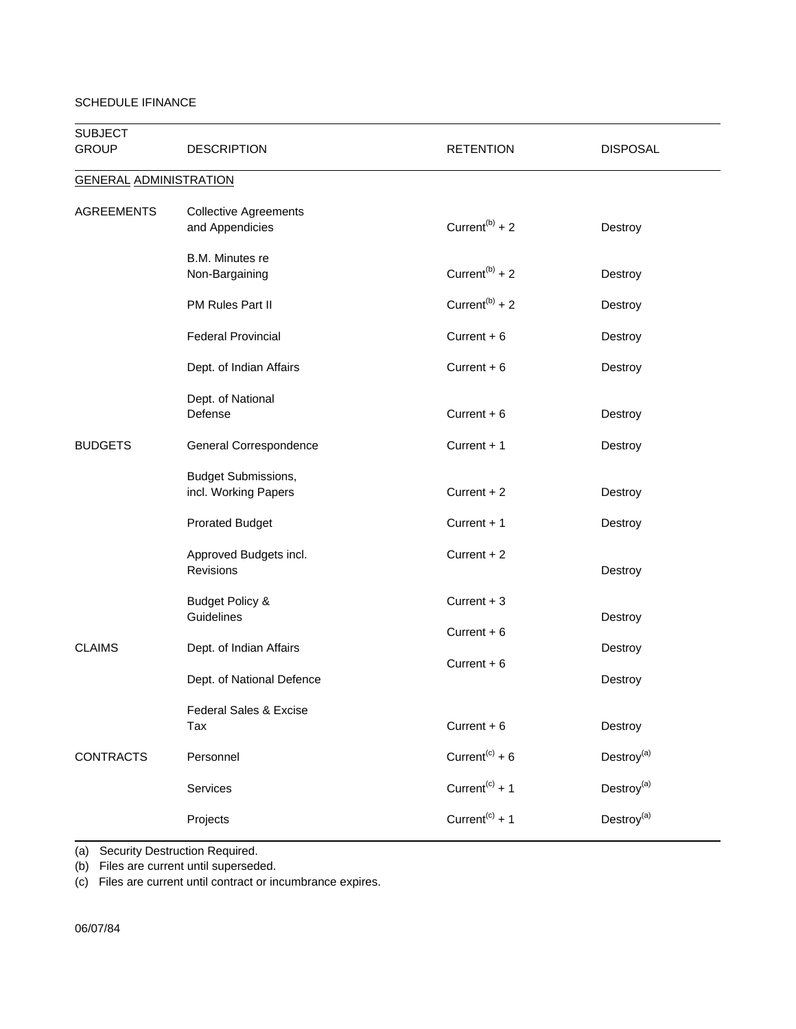| <b>SUBJECT</b><br><b>GROUP</b> | <b>DESCRIPTION</b>                                                    | <b>RETENTION</b>                             | <b>DISPOSAL</b>        |
|--------------------------------|-----------------------------------------------------------------------|----------------------------------------------|------------------------|
| <b>GENERAL ADMINISTRATION</b>  |                                                                       |                                              |                        |
| <b>AGREEMENTS</b>              | <b>Collective Agreements</b><br>and Appendicies                       | Current <sup>(b)</sup> + 2                   | Destroy                |
|                                | B.M. Minutes re<br>Non-Bargaining                                     | Current <sup>(b)</sup> + 2                   | Destroy                |
|                                | PM Rules Part II                                                      | Current <sup>(b)</sup> + 2                   | Destroy                |
|                                | <b>Federal Provincial</b>                                             | Current $+6$                                 | Destroy                |
|                                | Dept. of Indian Affairs                                               | Current $+6$                                 | Destroy                |
|                                | Dept. of National<br>Defense                                          | Current $+6$                                 | Destroy                |
| <b>BUDGETS</b>                 | General Correspondence                                                | Current $+1$                                 | Destroy                |
|                                | Budget Submissions,<br>incl. Working Papers<br><b>Prorated Budget</b> | Current + 2<br>Current $+1$                  | Destroy<br>Destroy     |
|                                | Approved Budgets incl.<br><b>Revisions</b>                            | Current $+2$                                 | Destroy                |
| <b>CLAIMS</b>                  | <b>Budget Policy &amp;</b><br>Guidelines<br>Dept. of Indian Affairs   | Current $+3$<br>Current $+6$<br>Current $+6$ | Destroy<br>Destroy     |
|                                | Dept. of National Defence                                             |                                              | Destroy                |
|                                | Federal Sales & Excise<br>Tax                                         | Current $+6$                                 | Destroy                |
| <b>CONTRACTS</b>               | Personnel                                                             | Current <sup>(c)</sup> + $6$                 | Destroy <sup>(a)</sup> |
|                                | Services                                                              | Current <sup>(c)</sup> + 1                   | Destroy <sup>(a)</sup> |
|                                | Projects                                                              | Current <sup>(c)</sup> + 1                   | Destroy <sup>(a)</sup> |

(a) Security Destruction Required.

(b) Files are current until superseded.

(c) Files are current until contract or incumbrance expires.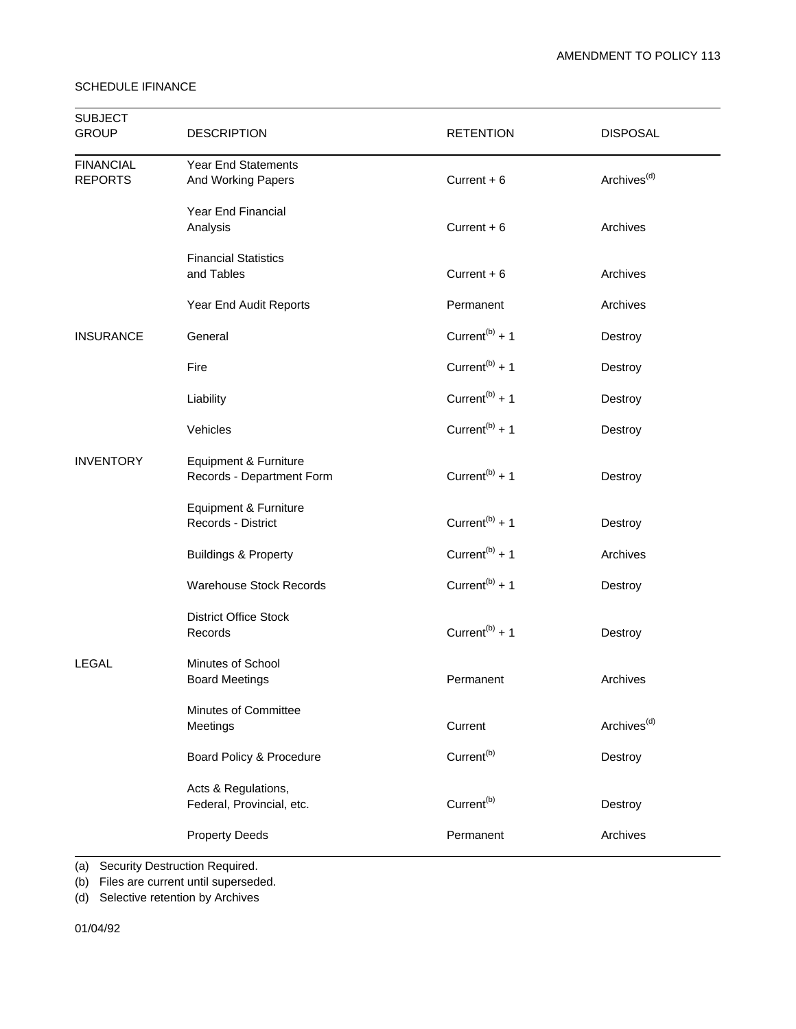| <b>SUBJECT</b><br><b>GROUP</b>     | <b>DESCRIPTION</b>                                      | <b>RETENTION</b>           | <b>DISPOSAL</b>         |
|------------------------------------|---------------------------------------------------------|----------------------------|-------------------------|
| <b>FINANCIAL</b><br><b>REPORTS</b> | <b>Year End Statements</b><br><b>And Working Papers</b> | Current $+6$               | Archives <sup>(d)</sup> |
|                                    | Year End Financial<br>Analysis                          | Current $+6$               | Archives                |
|                                    | <b>Financial Statistics</b><br>and Tables               | Current $+6$               | Archives                |
|                                    | Year End Audit Reports                                  | Permanent                  | Archives                |
| <b>INSURANCE</b>                   | General                                                 | Current <sup>(b)</sup> + 1 | Destroy                 |
|                                    | Fire                                                    | Current <sup>(b)</sup> + 1 | Destroy                 |
|                                    | Liability                                               | Current <sup>(b)</sup> + 1 | Destroy                 |
|                                    | Vehicles                                                | Current <sup>(b)</sup> + 1 | Destroy                 |
| <b>INVENTORY</b>                   | Equipment & Furniture<br>Records - Department Form      | Current <sup>(b)</sup> + 1 | Destroy                 |
|                                    | Equipment & Furniture<br>Records - District             | Current <sup>(b)</sup> + 1 | Destroy                 |
|                                    | <b>Buildings &amp; Property</b>                         | Current <sup>(b)</sup> + 1 | Archives                |
|                                    | <b>Warehouse Stock Records</b>                          | Current <sup>(b)</sup> + 1 | Destroy                 |
|                                    | <b>District Office Stock</b><br>Records                 | Current <sup>(b)</sup> + 1 | Destroy                 |
| <b>LEGAL</b>                       | Minutes of School<br><b>Board Meetings</b>              | Permanent                  | Archives                |
|                                    | Minutes of Committee<br>Meetings                        | Current                    | Archives <sup>(d)</sup> |
|                                    | Board Policy & Procedure                                | Current <sup>(b)</sup>     | Destroy                 |
|                                    | Acts & Regulations,<br>Federal, Provincial, etc.        | Current <sup>(b)</sup>     | Destroy                 |
|                                    | <b>Property Deeds</b>                                   | Permanent                  | Archives                |

(a) Security Destruction Required.

(b) Files are current until superseded.

(d) Selective retention by Archives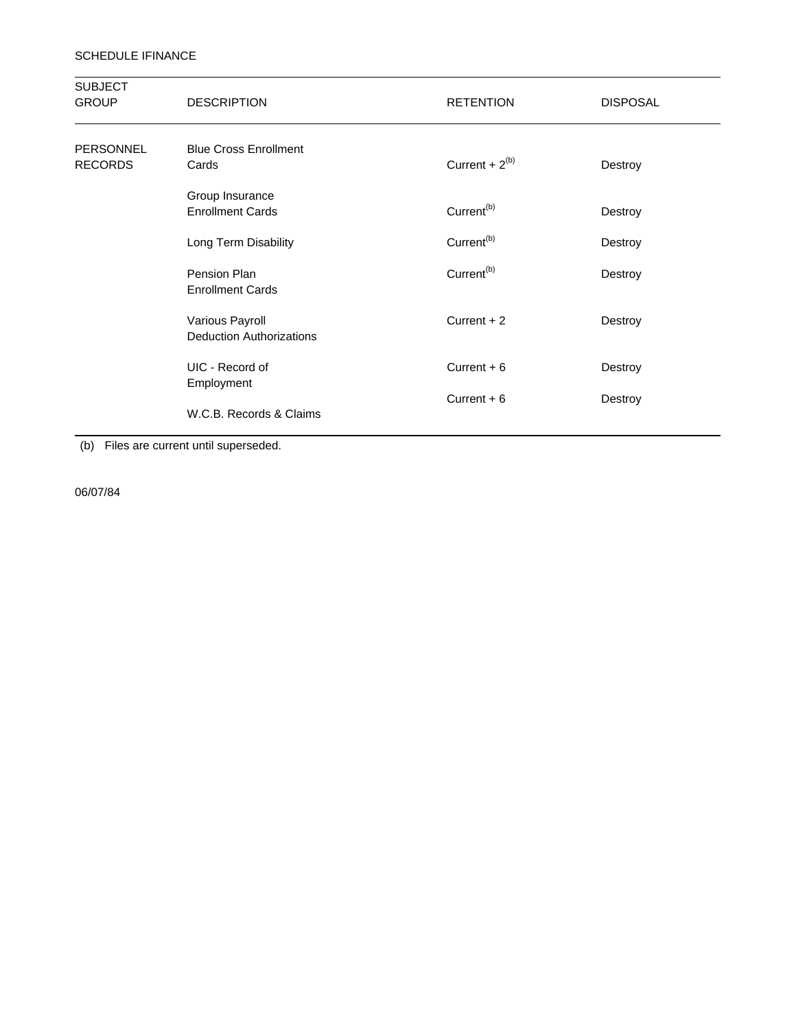| <b>SUBJECT</b><br><b>GROUP</b>     | <b>DESCRIPTION</b>                                 | <b>RETENTION</b>       | <b>DISPOSAL</b> |
|------------------------------------|----------------------------------------------------|------------------------|-----------------|
| <b>PERSONNEL</b><br><b>RECORDS</b> | <b>Blue Cross Enrollment</b><br>Cards              | Current + $2^{(b)}$    | Destroy         |
|                                    | Group Insurance<br><b>Enrollment Cards</b>         | Current <sup>(b)</sup> | Destroy         |
|                                    | Long Term Disability                               | Current <sup>(b)</sup> | Destroy         |
|                                    | Pension Plan<br><b>Enrollment Cards</b>            | Current <sup>(b)</sup> | Destroy         |
|                                    | Various Payroll<br><b>Deduction Authorizations</b> | Current $+2$           | Destroy         |
|                                    | UIC - Record of<br>Employment                      | Current $+6$           | Destroy         |
|                                    | W.C.B. Records & Claims                            | Current $+6$           | Destroy         |

(b) Files are current until superseded.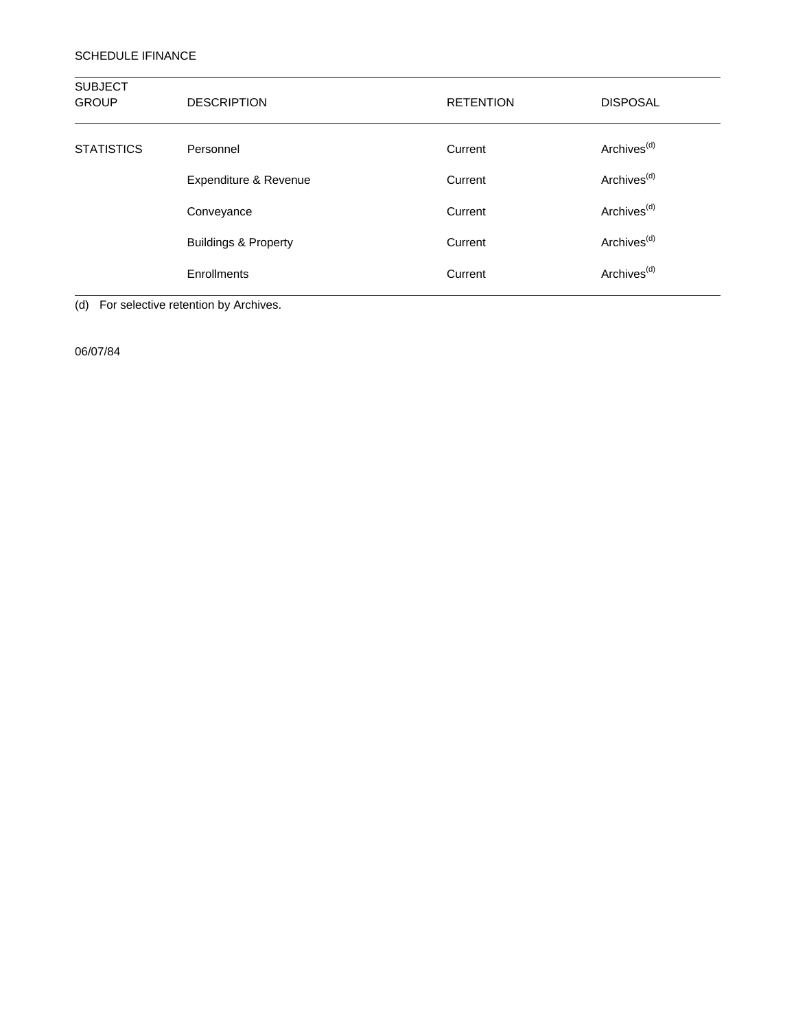| <b>SUBJECT</b><br><b>GROUP</b> | <b>DESCRIPTION</b>              | <b>RETENTION</b> | <b>DISPOSAL</b>         |
|--------------------------------|---------------------------------|------------------|-------------------------|
| <b>STATISTICS</b>              | Personnel                       | Current          | Archives <sup>(d)</sup> |
|                                | Expenditure & Revenue           | Current          | Archives <sup>(d)</sup> |
|                                | Conveyance                      | Current          | Archives <sup>(d)</sup> |
|                                | <b>Buildings &amp; Property</b> | Current          | Archives <sup>(d)</sup> |
|                                | Enrollments                     | Current          | Archives <sup>(d)</sup> |

(d) For selective retention by Archives.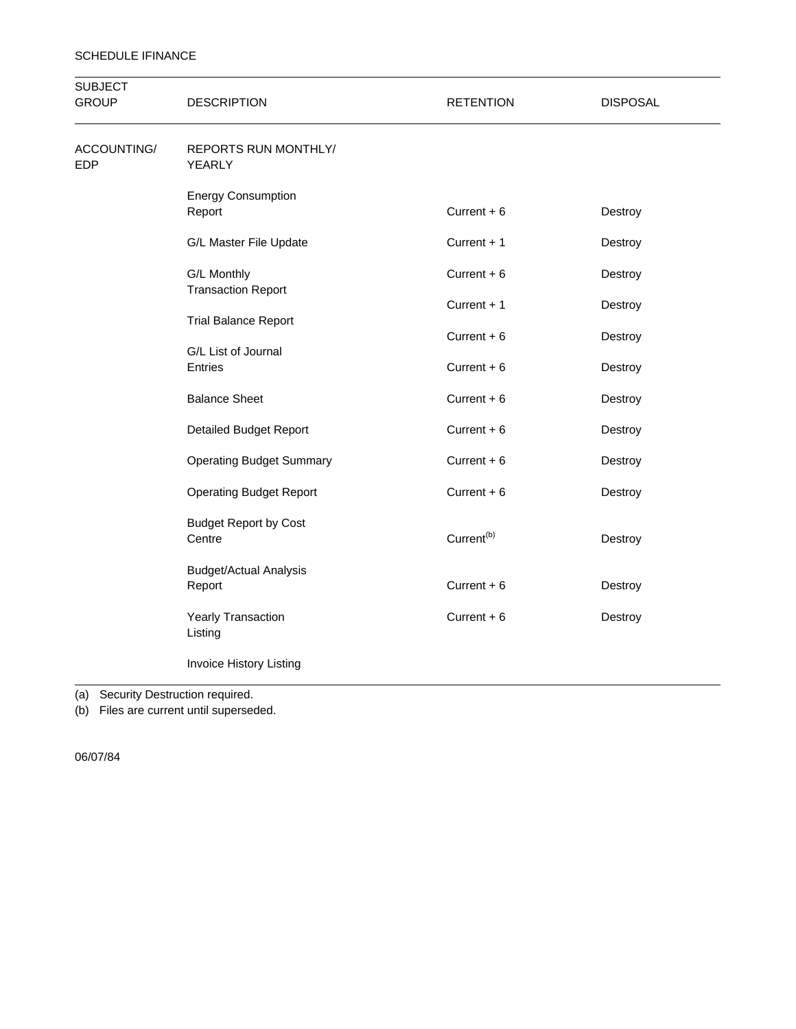| <b>SUBJECT</b><br><b>GROUP</b> | <b>DESCRIPTION</b>                                            | <b>RETENTION</b>       | <b>DISPOSAL</b> |
|--------------------------------|---------------------------------------------------------------|------------------------|-----------------|
| ACCOUNTING/<br><b>EDP</b>      | <b>REPORTS RUN MONTHLY/</b><br>YEARLY                         |                        |                 |
|                                | <b>Energy Consumption</b><br>Report                           | Current $+6$           | Destroy         |
|                                | G/L Master File Update                                        | Current + 1            | Destroy         |
|                                | G/L Monthly                                                   | Current $+6$           | Destroy         |
|                                | <b>Transaction Report</b>                                     | Current + 1            | Destroy         |
|                                | <b>Trial Balance Report</b><br>G/L List of Journal<br>Entries | Current $+6$           | Destroy         |
|                                |                                                               | Current $+6$           | Destroy         |
|                                | <b>Balance Sheet</b>                                          | Current $+6$           | Destroy         |
|                                | <b>Detailed Budget Report</b>                                 | Current $+6$           | Destroy         |
|                                | <b>Operating Budget Summary</b>                               | Current $+6$           | Destroy         |
|                                | <b>Operating Budget Report</b>                                | Current $+6$           | Destroy         |
|                                | <b>Budget Report by Cost</b><br>Centre                        | Current <sup>(b)</sup> | Destroy         |
|                                | <b>Budget/Actual Analysis</b><br>Report                       | Current $+6$           | Destroy         |
|                                | Yearly Transaction<br>Listing                                 | Current $+6$           | Destroy         |
|                                | Invoice History Listing                                       |                        |                 |

(a) Security Destruction required.

(b) Files are current until superseded.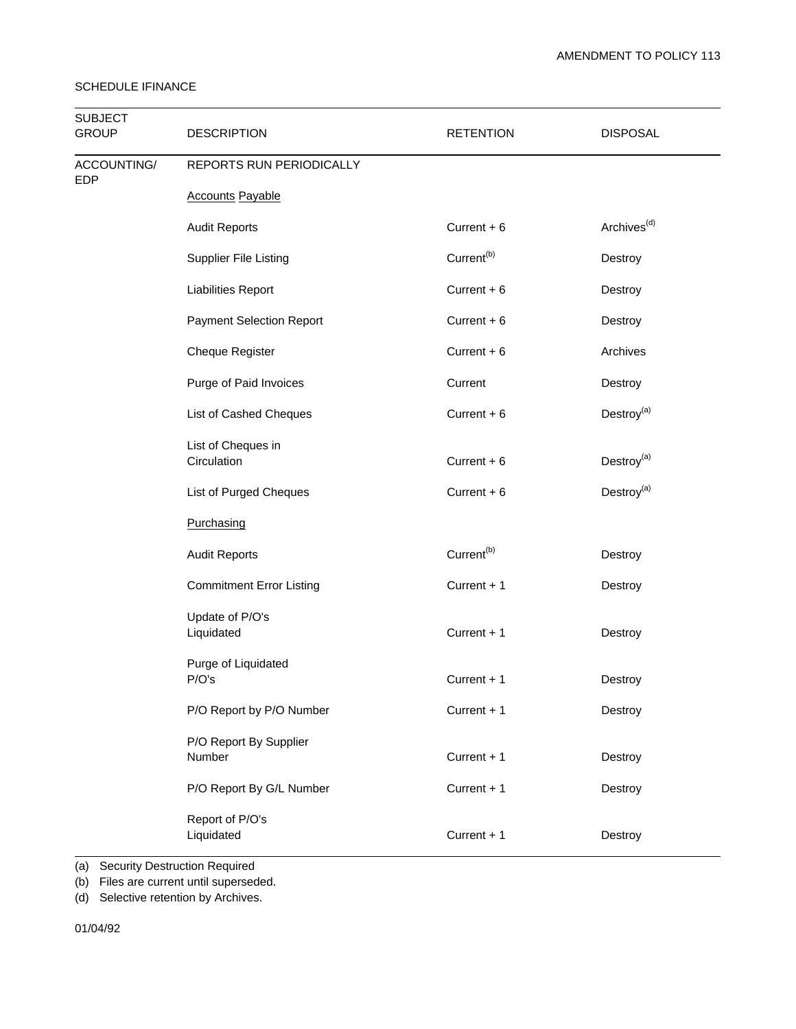| <b>SUBJECT</b><br><b>GROUP</b> | <b>DESCRIPTION</b>                | <b>RETENTION</b>       | <b>DISPOSAL</b>         |  |
|--------------------------------|-----------------------------------|------------------------|-------------------------|--|
| ACCOUNTING/<br><b>EDP</b>      | REPORTS RUN PERIODICALLY          |                        |                         |  |
|                                | <b>Accounts Payable</b>           |                        |                         |  |
|                                | <b>Audit Reports</b>              | Current $+6$           | Archives <sup>(d)</sup> |  |
|                                | <b>Supplier File Listing</b>      | Current <sup>(b)</sup> | Destroy                 |  |
|                                | <b>Liabilities Report</b>         | Current $+6$           | Destroy                 |  |
|                                | <b>Payment Selection Report</b>   | Current $+6$           | Destroy                 |  |
|                                | <b>Cheque Register</b>            | Current $+6$           | Archives                |  |
|                                | Purge of Paid Invoices            | Current                | Destroy                 |  |
|                                | List of Cashed Cheques            | Current $+6$           | Destroy <sup>(a)</sup>  |  |
|                                | List of Cheques in<br>Circulation | Current $+6$           | Destroy <sup>(a)</sup>  |  |
|                                | List of Purged Cheques            | Current $+6$           | Destroy <sup>(a)</sup>  |  |
|                                | Purchasing                        |                        |                         |  |
|                                | <b>Audit Reports</b>              | Current <sup>(b)</sup> | Destroy                 |  |
|                                | <b>Commitment Error Listing</b>   | Current + 1            | Destroy                 |  |
|                                | Update of P/O's<br>Liquidated     | Current + 1            | Destroy                 |  |
|                                | Purge of Liquidated<br>P/O's      | Current + 1            | Destroy                 |  |
|                                | P/O Report by P/O Number          | Current + 1            | Destroy                 |  |
|                                | P/O Report By Supplier<br>Number  | Current + 1            | Destroy                 |  |
|                                | P/O Report By G/L Number          | Current + 1            | Destroy                 |  |
|                                | Report of P/O's<br>Liquidated     | Current + 1            | Destroy                 |  |

(a) Security Destruction Required

(b) Files are current until superseded.

(d) Selective retention by Archives.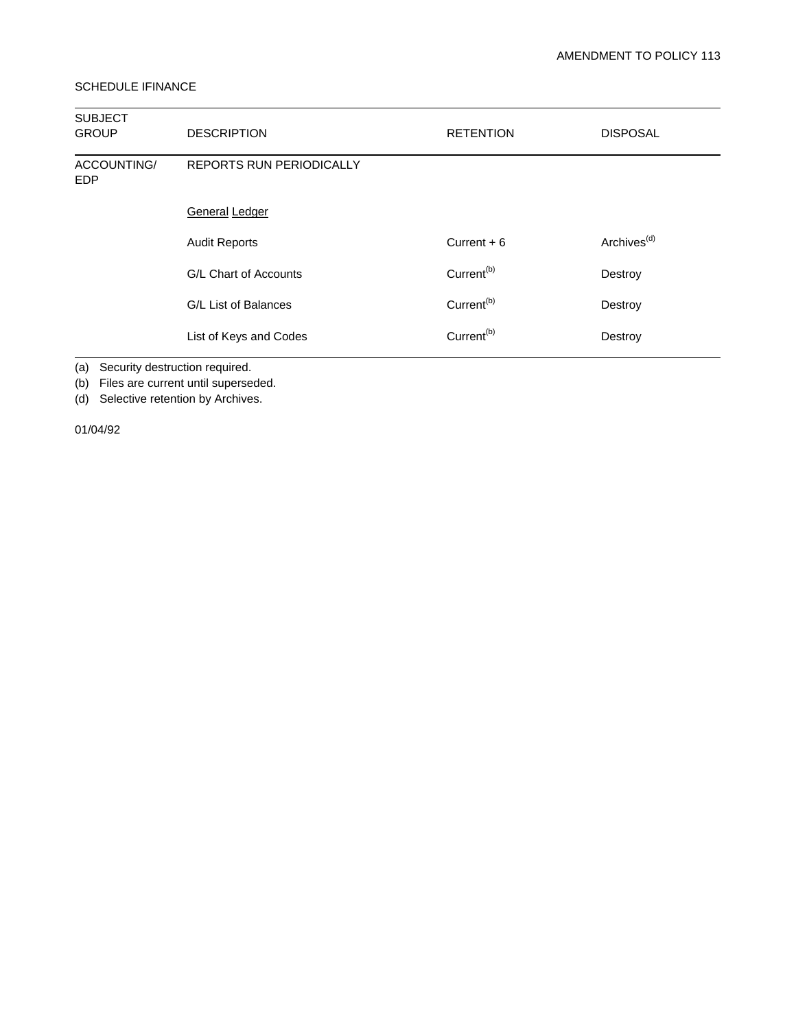| <b>SUBJECT</b><br><b>GROUP</b> | <b>DESCRIPTION</b>              | <b>RETENTION</b>       | <b>DISPOSAL</b>         |
|--------------------------------|---------------------------------|------------------------|-------------------------|
| ACCOUNTING/<br><b>EDP</b>      | <b>REPORTS RUN PERIODICALLY</b> |                        |                         |
|                                | <b>General Ledger</b>           |                        |                         |
|                                | <b>Audit Reports</b>            | Current $+6$           | Archives <sup>(d)</sup> |
|                                | G/L Chart of Accounts           | Current <sup>(b)</sup> | Destroy                 |
|                                | G/L List of Balances            | Current <sup>(b)</sup> | Destroy                 |
|                                | List of Keys and Codes          | Current <sup>(b)</sup> | Destroy                 |

(a) Security destruction required.

(b) Files are current until superseded.

(d) Selective retention by Archives.

01/04/92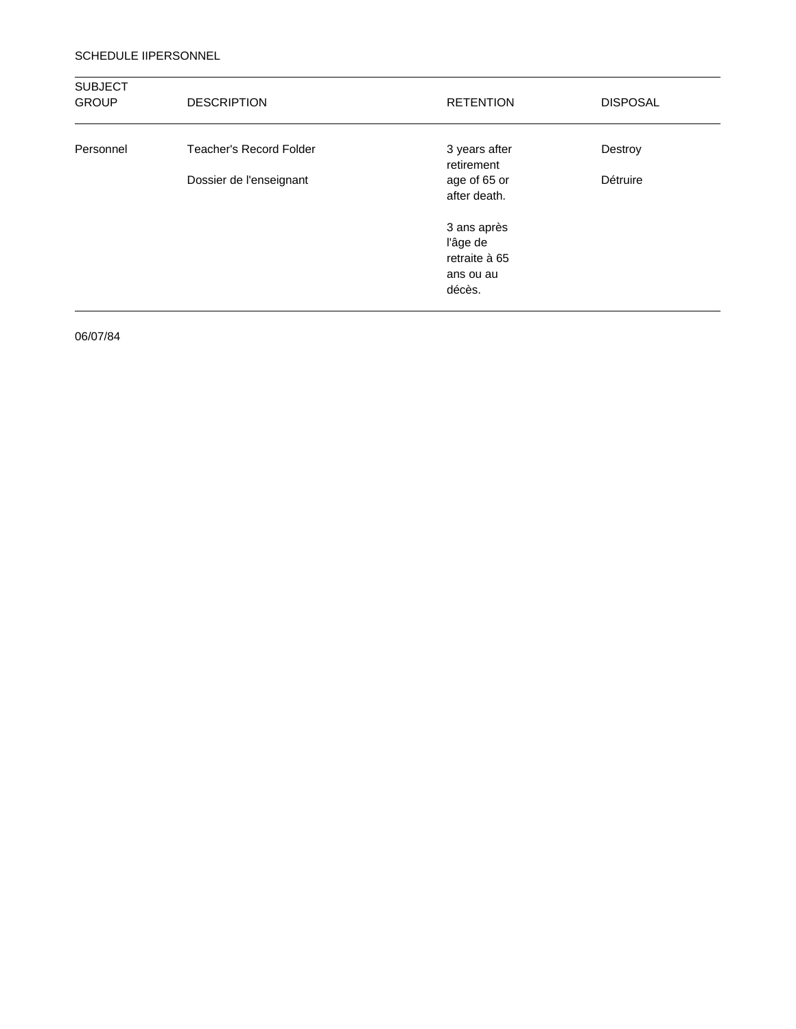#### SCHEDULE IIPERSONNEL

| <b>SUBJECT</b><br><b>GROUP</b> | <b>DESCRIPTION</b>             | <b>RETENTION</b>                                                | <b>DISPOSAL</b> |
|--------------------------------|--------------------------------|-----------------------------------------------------------------|-----------------|
| Personnel                      | <b>Teacher's Record Folder</b> | 3 years after<br>retirement                                     | Destroy         |
|                                | Dossier de l'enseignant        | age of 65 or<br>after death.                                    | Détruire        |
|                                |                                | 3 ans après<br>l'âge de<br>retraite à 65<br>ans ou au<br>décès. |                 |